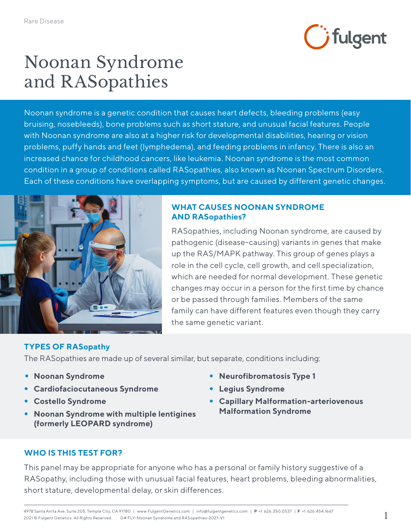

## Noonan Syndrome and RASopathies

Noonan syndrome is a genetic condition that causes heart defects, bleeding problems (easy bruising, nosebleeds), bone problems such as short stature, and unusual facial features. People with Noonan syndrome are also at a higher risk for developmental disabilities, hearing or vision problems, puffy hands and feet (lymphedema), and feeding problems in infancy. There is also an increased chance for childhood cancers, like leukemia. Noonan syndrome is the most common condition in a group of conditions called RASopathies, also known as Noonan Spectrum Disorders. Each of these conditions have overlapping symptoms, but are caused by different genetic changes.



#### **WHAT CAUSES NOONAN SYNDROME AND RASopathies?**

RASopathies, including Noonan syndrome, are caused by pathogenic (disease-causing) variants in genes that make up the RAS/MAPK pathway. This group of genes plays a role in the cell cycle, cell growth, and cell specialization, which are needed for normal development. These genetic changes may occur in a person for the first time by chance or be passed through families. Members of the same family can have different features even though they carry the same genetic variant.

#### **TYPES OF RASopathy**

The RASopathies are made up of several similar, but separate, conditions including:

- **Noonan Syndrome**
- **Cardiofaciocutaneous Syndrome**
- **Costello Syndrome**
- **Noonan Syndrome with multiple lentigines (formerly LEOPARD syndrome)**
- **Neurofibromatosis Type 1**
- **Legius Syndrome**
- **Capillary Malformation-arteriovenous Malformation Syndrome**

#### **WHO IS THIS TEST FOR?**

This panel may be appropriate for anyone who has a personal or family history suggestive of a RASopathy, including those with unusual facial features, heart problems, bleeding abnormalities, short stature, developmental delay, or skin differences.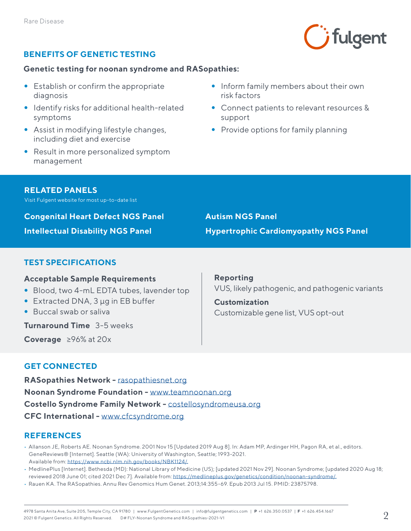

#### **BENEFITS OF GENETIC TESTING**

#### **Genetic testing for noonan syndrome and RASopathies:**

- Establish or confirm the appropriate diagnosis
- Identify risks for additional health-related symptoms
- Assist in modifying lifestyle changes, including diet and exercise
- Result in more personalized symptom management
- Inform family members about their own risk factors
- Connect patients to relevant resources & support
- Provide options for family planning

#### **RELATED PANELS**

Visit Fulgent website for most up-to-date list

**Congenital Heart Defect NGS Panel**

**Intellectual Disability NGS Panel**

**Autism NGS Panel Hypertrophic Cardiomyopathy NGS Panel**

#### **TEST SPECIFICATIONS**

#### **Acceptable Sample Requirements**

- Blood, two 4-mL EDTA tubes, lavender top
- Extracted DNA, 3 μg in EB buffer
- Buccal swab or saliva

**Turnaround Time** 3-5 weeks

**Coverage** ≥96% at 20x

**Reporting** VUS, likely pathogenic, and pathogenic variants

**Customization** Customizable gene list, VUS opt-out

### **GET CONNECTED**

**RASopathies Network -** [rasopathiesnet.org](https://rasopathiesnet.org/) **Noonan Syndrome Foundation -** [www.teamnoonan.org](https://www.teamnoonan.org/) **Costello Syndrome Family Network -** [costellosyndromeusa.org](https://costellosyndromeusa.org/) **CFC International -** [www.cfcsyndrome.org](https://www.cfcsyndrome.org/)

#### **REFERENCES**

- Allanson JE, Roberts AE. Noonan Syndrome. 2001 Nov 15 [Updated 2019 Aug 8]. In: Adam MP, Ardinger HH, Pagon RA, et al., editors. GeneReviews® [Internet]. Seattle (WA): University of Washington, Seattle; 1993-2021. Available from: [https://www.ncbi.nlm.nih.gov/books/NBK1124/.](https://www.ncbi.nlm.nih.gov/books/NBK1124/)
- MedlinePlus [Internet]. Bethesda (MD): National Library of Medicine (US); [updated 2021 Nov 29]. Noonan Syndrome; [updated 2020 Aug 18; reviewed 2018 June 01; cited 2021 Dec 7]. Available from: [https://medlineplus.gov/genetics/condition/noonan-syndrome/.](https://medlineplus.gov/genetics/condition/noonan-syndrome/)
- Rauen KA. The RASopathies. Annu Rev Genomics Hum Genet. 2013;14:355-69. Epub 2013 Jul 15. PMID: 23875798.